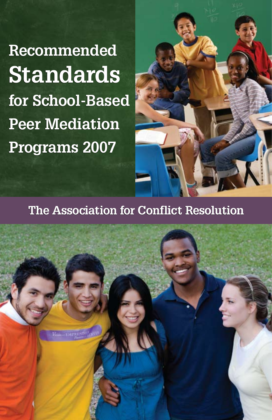**Recommended Standards Standardsfor School-Based Peer Mediation for School-Based Peer Mediation Programs 2007**



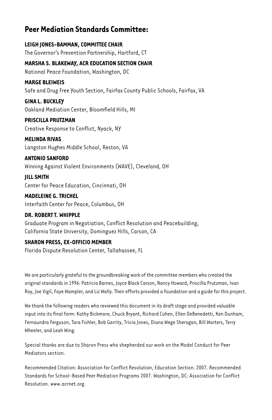## **Peer Mediation Standards Committee:**

**Leigh Jones-Bamman, Committee Chair** The Governor's Prevention Partnership, Hartford, CT

**Marsha S. Blakeway, ACR Education Section Chair** National Peace Foundation, Washington, DC

#### **Marge Bleiweis**

Safe and Drug Free Youth Section, Fairfax County Public Schools, Fairfax, VA

**Gina L. Buckley** Oakland Mediation Center, Bloomfield Hills, MI

**Priscilla Prutzman** Creative Response to Conflict, Nyack, NY

**Melinda Rivas** Langston Hughes Middle School, Reston, VA

**Antonio Sanford** Winning Against Violent Environments (WAVE), Cleveland, OH

**Jill Smith** Center for Peace Education, Cincinnati, OH

**Madeleine G. Trichel** Interfaith Center for Peace, Columbus, OH

#### **Dr. Robert T. Whipple**

Graduate Program in Negotiation, Conflict Resolution and Peacebuilding, California State University, Dominguez Hills, Carson, CA

#### **Sharon Press, Ex-Officio Member**

Florida Dispute Resolution Center, Tallahassee, FL

We are particularly grateful to the groundbreaking work of the committee members who created the original standards in 1996: Patricia Barnes, Joyce Black Carson, Nancy Howard, Priscilla Prutzman, Ivan Roy, Joe Vigil, Faye Wampler, and Liz Wally. Their efforts provided a foundation and a guide for this project.

We thank the following readers who reviewed this document in its draft stage and provided valuable input into its final form: Kathy Bickmore, Chuck Bryant, Richard Cohen, Ellen DeBenedetti, Ken Dunham, Fernaundra Ferguson, Tara Fishler, Bob Garrity, Tricia Jones, Diana Wege Sherogan, Bill Warters, Terry Wheeler, and Leah Wing.

Special thanks are due to Sharon Press who shepherded our work on the Model Conduct for Peer Mediators section.

Recommended Citation: Association for Conflict Resolution, Education Section. 2007. Recommended Standards for School-Based Peer Mediation Programs 2007. Washington, DC: Association for Conflict Resolution. www.acrnet.org.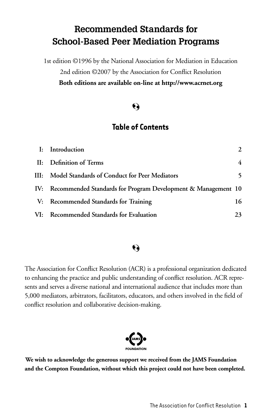# **Recommended Standards for School-Based Peer Mediation Programs**

1st edition ©1996 by the National Association for Mediation in Education 2nd edition ©2007 by the Association for Conflict Resolution **Both editions are available on-line at http://www.acrnet.org**

# Q

## **Table of Contents**

| I: Introduction                                                   |    |
|-------------------------------------------------------------------|----|
| II: Definition of Terms                                           | 4  |
| III: Model Standards of Conduct for Peer Mediators                |    |
| IV: Recommended Standards for Program Development & Management 10 |    |
| V: Recommended Standards for Training                             | 16 |
| VI: Recommended Standards for Evaluation                          | 23 |

# $\ddot{\boldsymbol{\epsilon}}$

The Association for Conflict Resolution (ACR) is a professional organization dedicated to enhancing the practice and public understanding of conflict resolution. ACR represents and serves a diverse national and international audience that includes more than 5,000 mediators, arbitrators, facilitators, educators, and others involved in the field of conflict resolution and collaborative decision-making.



**We wish to acknowledge the generous support we received from the JAMS Foundation and the Compton Foundation, without which this project could not have been completed.**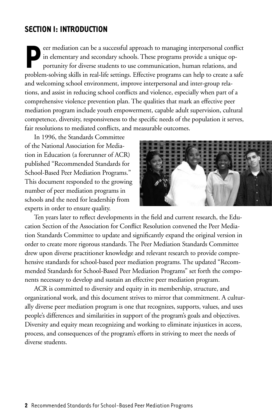## **Section I: Introduction**

Feer mediation can be a successful approach to managing interpersonal conflict<br>in elementary and secondary schools. These programs provide a unique op-<br>portunity for diverse students to use communication, human relations, in elementary and secondary schools. These programs provide a unique opportunity for diverse students to use communication, human relations, and problem-solving skills in real-life settings. Effective programs can help to create a safe and welcoming school environment, improve interpersonal and inter-group relations, and assist in reducing school conflicts and violence, especially when part of a comprehensive violence prevention plan. The qualities that mark an effective peer mediation program include youth empowerment, capable adult supervision, cultural competence, diversity, responsiveness to the specific needs of the population it serves, fair resolutions to mediated conflicts, and measurable outcomes.

In 1996, the Standards Committee of the National Association for Mediation in Education (a forerunner of ACR) published "Recommended Standards for School-Based Peer Mediation Programs." This document responded to the growing number of peer mediation programs in schools and the need for leadership from experts in order to ensure quality.



Ten years later to reflect developments in the field and current research, the Education Section of the Association for Conflict Resolution convened the Peer Mediation Standards Committee to update and significantly expand the original version in order to create more rigorous standards. The Peer Mediation Standards Committee drew upon diverse practitioner knowledge and relevant research to provide comprehensive standards for school-based peer mediation programs. The updated "Recommended Standards for School-Based Peer Mediation Programs" set forth the components necessary to develop and sustain an effective peer mediation program.

ACR is committed to diversity and equity in its membership, structure, and organizational work, and this document strives to mirror that commitment. A culturally diverse peer mediation program is one that recognizes, supports, values, and uses people's differences and similarities in support of the program's goals and objectives. Diversity and equity mean recognizing and working to eliminate injustices in access, process, and consequences of the program's efforts in striving to meet the needs of diverse students.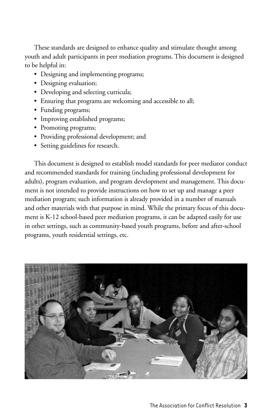These standards are designed to enhance quality and stimulate thought among youth and adult participants in peer mediation programs. This document is designed to be helpful in:

- Designing and implementing programs;
- Designing evaluation;
- Developing and selecting curricula;
- Ensuring that programs are welcoming and accessible to all;
- Funding programs;
- Improving established programs;
- Promoting programs;
- Providing professional development; and
- • Setting guidelines for research.

This document is designed to establish model standards for peer mediator conduct and recommended standards for training (including professional development for adults), program evaluation, and program development and management. This document is not intended to provide instructions on how to set up and manage a peer mediation program; such information is already provided in a number of manuals and other materials with that purpose in mind. While the primary focus of this document is K-12 school-based peer mediation programs, it can be adapted easily for use in other settings, such as community-based youth programs, before and after-school programs, youth residential settings, etc.

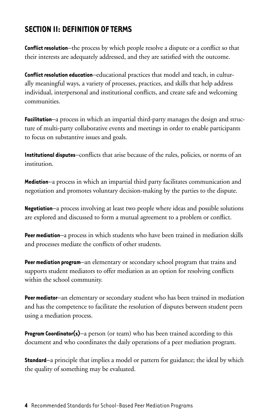# **Section II: Definition of Terms**

**Conflict resolution**—the process by which people resolve a dispute or a conflict so that their interests are adequately addressed, and they are satisfied with the outcome.

**Conflict resolution education**—educational practices that model and teach, in culturally meaningful ways, a variety of processes, practices, and skills that help address individual, interpersonal and institutional conflicts, and create safe and welcoming communities.

**Facilitation**—a process in which an impartial third-party manages the design and structure of multi-party collaborative events and meetings in order to enable participants to focus on substantive issues and goals.

**Institutional disputes**—conflicts that arise because of the rules, policies, or norms of an institution.

**Mediation**—a process in which an impartial third party facilitates communication and negotiation and promotes voluntary decision-making by the parties to the dispute.

**Negotiation**—a process involving at least two people where ideas and possible solutions are explored and discussed to form a mutual agreement to a problem or conflict.

**Peer mediation**—a process in which students who have been trained in mediation skills and processes mediate the conflicts of other students.

**Peer mediation program**—an elementary or secondary school program that trains and supports student mediators to offer mediation as an option for resolving conflicts within the school community.

**Peer mediator**—an elementary or secondary student who has been trained in mediation and has the competence to facilitate the resolution of disputes between student peers using a mediation process.

**Program Coordinator(s)**—a person (or team) who has been trained according to this document and who coordinates the daily operations of a peer mediation program.

**Standard**—a principle that implies a model or pattern for guidance; the ideal by which the quality of something may be evaluated.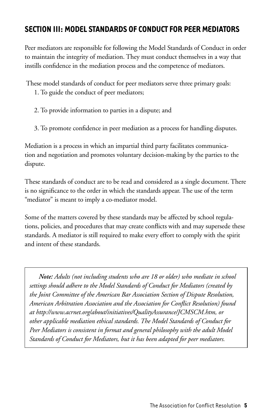# **Section III: Model Standards of Conduct for Peer Mediators**

Peer mediators are responsible for following the Model Standards of Conduct in order to maintain the integrity of mediation. They must conduct themselves in a way that instills confidence in the mediation process and the competence of mediators.

These model standards of conduct for peer mediators serve three primary goals:

- 1. To guide the conduct of peer mediators;
- 2. To provide information to parties in a dispute; and
- 3. To promote confidence in peer mediation as a process for handling disputes.

Mediation is a process in which an impartial third party facilitates communication and negotiation and promotes voluntary decision-making by the parties to the dispute.

These standards of conduct are to be read and considered as a single document. There is no significance to the order in which the standards appear. The use of the term "mediator" is meant to imply a co-mediator model.

Some of the matters covered by these standards may be affected by school regulations, policies, and procedures that may create conflicts with and may supersede these standards. A mediator is still required to make every effort to comply with the spirit and intent of these standards.

*Note: Adults (not including students who are 18 or older) who mediate in school settings should adhere to the Model Standards of Conduct for Mediators (created by the Joint Committee of the American Bar Association Section of Dispute Resolution, American Arbitration Association and the Association for Conflict Resolution) found at http://www.acrnet.org/about/initiatives/QualityAssurance/JCMSCM.htm, or other applicable mediation ethical standards. The Model Standards of Conduct for Peer Mediators is consistent in format and general philosophy with the adult Model Standards of Conduct for Mediators, but it has been adapted for peer mediators.*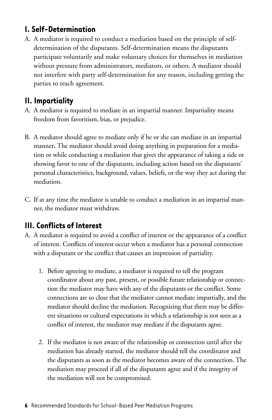## **I. Self-Determination**

A. A mediator is required to conduct a mediation based on the principle of selfdetermination of the disputants. Self-determination means the disputants participate voluntarily and make voluntary choices for themselves in mediation without pressure from administrators, mediators, or others. A mediator should not interfere with party self-determination for any reason, including getting the parties to reach agreement.

# **II. Impartiality**

- A. A mediator is required to mediate in an impartial manner. Impartiality means freedom from favoritism, bias, or prejudice.
- B. A mediator should agree to mediate only if he or she can mediate in an impartial manner**.** The mediator should avoid doing anything in preparation for a mediation or while conducting a mediation that gives the appearance of taking a side or showing favor to one of the disputants, including action based on the disputants' personal characteristics, background, values, beliefs, or the way they act during the mediation.
- C. If at any time the mediator is unable to conduct a mediation in an impartial manner, the mediator must withdraw.

# **III. Conflicts of Interest**

- A. A mediator is required to avoid a conflict of interest or the appearance of a conflict of interest. Conflicts of interest occur when a mediator has a personal connection with a disputant or the conflict that causes an impression of partiality.
	- 1. Before agreeing to mediate, a mediator is required to tell the program coordinator about any past, present, or possible future relationship or connection the mediator may have with any of the disputants or the conflict. Some connections are so close that the mediator cannot mediate impartially, and the mediator should decline the mediation. Recognizing that there may be different situations or cultural expectations in which a relationship is not seen as a conflict of interest, the mediator may mediate if the disputants agree.
	- 2. If the mediator is not aware of the relationship or connection until after the mediation has already started, the mediator should tell the coordinator and the disputants as soon as the mediator becomes aware of the connection. The mediation may proceed if all of the disputants agree and if the integrity of the mediation will not be compromised.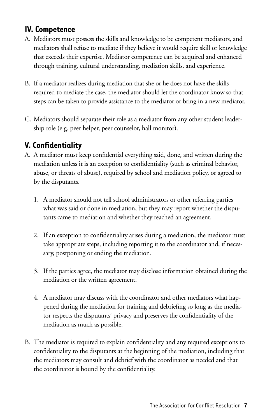# **IV. Competence**

- A. Mediators must possess the skills and knowledge to be competent mediators, and mediators shall refuse to mediate if they believe it would require skill or knowledge that exceeds their expertise. Mediator competence can be acquired and enhanced through training, cultural understanding, mediation skills, and experience.
- B. If a mediator realizes during mediation that she or he does not have the skills required to mediate the case, the mediator should let the coordinator know so that steps can be taken to provide assistance to the mediator or bring in a new mediator.
- C. Mediators should separate their role as a mediator from any other student leadership role (e.g. peer helper, peer counselor, hall monitor).

## **V. Confidentiality**

- A. A mediator must keep confidential everything said, done, and written during the mediation unless it is an exception to confidentiality (such as criminal behavior, abuse, or threats of abuse), required by school and mediation policy, or agreed to by the disputants.
	- 1. A mediator should not tell school administrators or other referring parties what was said or done in mediation, but they may report whether the disputants came to mediation and whether they reached an agreement.
	- 2. If an exception to confidentiality arises during a mediation, the mediator must take appropriate steps, including reporting it to the coordinator and, if necessary, postponing or ending the mediation.
	- 3. If the parties agree, the mediator may disclose information obtained during the mediation or the written agreement.
	- 4. A mediator may discuss with the coordinator and other mediators what happened during the mediation for training and debriefing so long as the mediator respects the disputants' privacy and preserves the confidentiality of the mediation as much as possible*.*
- B. The mediator is required to explain confidentiality and any required exceptions to confidentiality to the disputants at the beginning of the mediation, including that the mediators may consult and debrief with the coordinator as needed and that the coordinator is bound by the confidentiality.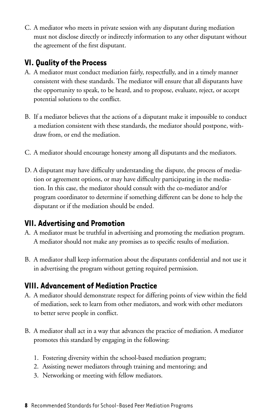C. A mediator who meets in private session with any disputant during mediation must not disclose directly or indirectly information to any other disputant without the agreement of the first disputant.

# **VI. Quality of the Process**

- A. A mediator must conduct mediation fairly, respectfully, and in a timely manner consistent with these standards. The mediator will ensure that all disputants have the opportunity to speak, to be heard, and to propose, evaluate, reject, or accept potential solutions to the conflict.
- B. If a mediator believes that the actions of a disputant make it impossible to conduct a mediation consistent with these standards, the mediator should postpone, withdraw from, or end the mediation.
- C. A mediator should encourage honesty among all disputants and the mediators.
- D. A disputant may have difficulty understanding the dispute, the process of mediation or agreement options, or may have difficulty participating in the mediation. In this case, the mediator should consult with the co-mediator and/or program coordinator to determine if something different can be done to help the disputant or if the mediation should be ended*.*

## **VII. Advertising and Promotion**

- A. A mediator must be truthful in advertising and promoting the mediation program. A mediator should not make any promises as to specific results of mediation.
- B. A mediator shall keep information about the disputants confidential and not use it in advertising the program without getting required permission.

### **VIII. Advancement of Mediation Practice**

- A. A mediator should demonstrate respect for differing points of view within the field of mediation, seek to learn from other mediators, and work with other mediators to better serve people in conflict.
- B. A mediator shall act in a way that advances the practice of mediation. A mediator promotes this standard by engaging in the following:
	- 1. Fostering diversity within the school-based mediation program;
	- 2. Assisting newer mediators through training and mentoring; and
	- 3. Networking or meeting with fellow mediators.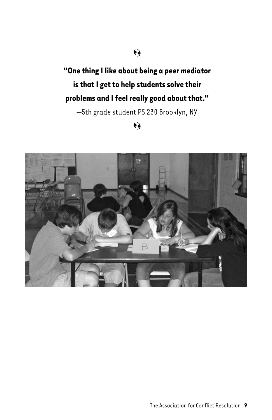# $\Theta$

**"One thing I like about being a peer mediator is that I get to help students solve their problems and I feel really good about that."** 

—5th grade student PS 230 Brooklyn, NY

# $\ddot{\bullet}$

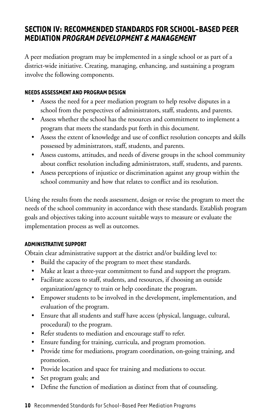## **Section IV: Recommended Standards for School-Based Peer Mediation** *Program Development & Management*

A peer mediation program may be implemented in a single school or as part of a district-wide initiative. Creating, managing, enhancing, and sustaining a program involve the following components.

#### **Needs Assessment and Program Design**

- Assess the need for a peer mediation program to help resolve disputes in a school from the perspectives of administrators, staff, students, and parents.
- Assess whether the school has the resources and commitment to implement a program that meets the standards put forth in this document.
- Assess the extent of knowledge and use of conflict resolution concepts and skills possessed by administrators, staff, students, and parents.
- Assess customs, attitudes, and needs of diverse groups in the school community about conflict resolution including administrators, staff, students, and parents.
- Assess perceptions of injustice or discrimination against any group within the school community and how that relates to conflict and its resolution.

Using the results from the needs assessment, design or revise the program to meet the needs of the school community in accordance with these standards. Establish program goals and objectives taking into account suitable ways to measure or evaluate the implementation process as well as outcomes.

#### **Administrative Support**

Obtain clear administrative support at the district and/or building level to:

- Build the capacity of the program to meet these standards.
- Make at least a three-year commitment to fund and support the program.
- Facilitate access to staff, students, and resources, if choosing an outside organization/agency to train or help coordinate the program.
- Empower students to be involved in the development, implementation, and evaluation of the program.
- Ensure that all students and staff have access (physical, language, cultural, procedural) to the program.
- Refer students to mediation and encourage staff to refer.
- Ensure funding for training, curricula, and program promotion.
- Provide time for mediations, program coordination, on-going training, and promotion.
- Provide location and space for training and mediations to occur.
- Set program goals; and
- Define the function of mediation as distinct from that of counseling.

#### **10** Recommended Standards for School-Based Peer Mediation Programs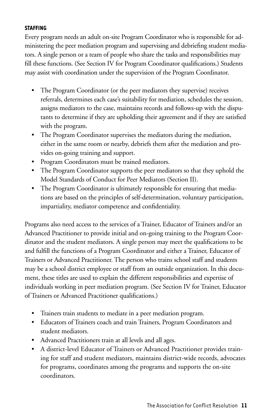#### **Staffing**

Every program needs an adult on-site Program Coordinator who is responsible for administering the peer mediation program and supervising and debriefing student mediators. A single person or a team of people who share the tasks and responsibilities may fill these functions. (See Section IV for Program Coordinator qualifications.) Students may assist with coordination under the supervision of the Program Coordinator.

- The Program Coordinator (or the peer mediators they supervise) receives referrals, determines each case's suitability for mediation, schedules the session, assigns mediators to the case, maintains records and follows-up with the disputants to determine if they are upholding their agreement and if they are satisfied with the program.
- The Program Coordinator supervises the mediators during the mediation, either in the same room or nearby, debriefs them after the mediation and provides on-going training and support.
- Program Coordinators must be trained mediators.
- The Program Coordinator supports the peer mediators so that they uphold the Model Standards of Conduct for Peer Mediators (Section II).
- The Program Coordinator is ultimately responsible for ensuring that mediations are based on the principles of self-determination, voluntary participation, impartiality, mediator competence and confidentiality.

Programs also need access to the services of a Trainer, Educator of Trainers and/or an Advanced Practitioner to provide initial and on-going training to the Program Coordinator and the student mediators. A single person may meet the qualifications to be and fulfill the functions of a Program Coordinator and either a Trainer, Educator of Trainers or Advanced Practitioner. The person who trains school staff and students may be a school district employee or staff from an outside organization. In this document, these titles are used to explain the different responsibilities and expertise of individuals working in peer mediation program. (See Section IV for Trainer, Educator of Trainers or Advanced Practitioner qualifications.)

- Trainers train students to mediate in a peer mediation program.
- Educators of Trainers coach and train Trainers, Program Coordinators and student mediators.
- Advanced Practitioners train at all levels and all ages.
- A district-level Educator of Trainers or Advanced Practitioner provides training for staff and student mediators, maintains district-wide records, advocates for programs, coordinates among the programs and supports the on-site coordinators.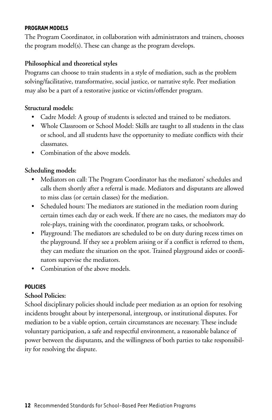#### **Program Models**

The Program Coordinator, in collaboration with administrators and trainers, chooses the program model(s). These can change as the program develops.

#### **Philosophical and theoretical styles**

Programs can choose to train students in a style of mediation, such as the problem solving/facilitative, transformative, social justice, or narrative style. Peer mediation may also be a part of a restorative justice or victim/offender program.

#### **Structural models:**

- Cadre Model: A group of students is selected and trained to be mediators.
- Whole Classroom or School Model: Skills are taught to all students in the class or school, and all students have the opportunity to mediate conflicts with their classmates.
- Combination of the above models.

#### **Scheduling models:**

- Mediators on call: The Program Coordinator has the mediators' schedules and calls them shortly after a referral is made. Mediators and disputants are allowed to miss class (or certain classes) for the mediation.
- Scheduled hours: The mediators are stationed in the mediation room during certain times each day or each week. If there are no cases, the mediators may do role-plays, training with the coordinator, program tasks, or schoolwork.
- Playground: The mediators are scheduled to be on duty during recess times on the playground. If they see a problem arising or if a conflict is referred to them, they can mediate the situation on the spot. Trained playground aides or coordinators supervise the mediators.
- Combination of the above models

#### **Policies**

#### **School Policies:**

School disciplinary policies should include peer mediation as an option for resolving incidents brought about by interpersonal, intergroup, or institutional disputes. For mediation to be a viable option, certain circumstances are necessary. These include voluntary participation, a safe and respectful environment, a reasonable balance of power between the disputants, and the willingness of both parties to take responsibility for resolving the dispute.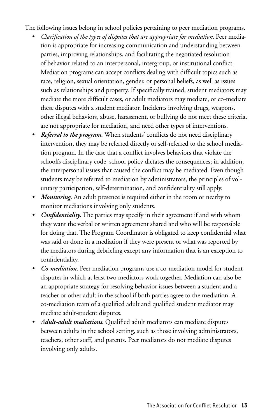The following issues belong in school policies pertaining to peer mediation programs.

- *Clarification of the types of disputes that are appropriate for mediation*. Peer mediation is appropriate for increasing communication and understanding between parties, improving relationships, and facilitating the negotiated resolution of behavior related to an interpersonal, intergroup, or institutional conflict. Mediation programs can accept conflicts dealing with difficult topics such as race, religion, sexual orientation, gender, or personal beliefs, as well as issues such as relationships and property. If specifically trained, student mediators may mediate the more difficult cases, or adult mediators may mediate, or co-mediate these disputes with a student mediator. Incidents involving drugs, weapons, other illegal behaviors, abuse, harassment, or bullying do not meet these criteria, are not appropriate for mediation, and need other types of interventions.
- *Referral to the program.* When students' conflicts do not need disciplinary intervention, they may be referred directly or self-referred to the school mediation program. In the case that a conflict involves behaviors that violate the schoolís disciplinary code, school policy dictates the consequences; in addition, the interpersonal issues that caused the conflict may be mediated. Even though students may be referred to mediation by administrators, the principles of voluntary participation, self-determination, and confidentiality still apply.
- *Monitoring*. An adult presence is required either in the room or nearby to monitor mediations involving only students.
- *Confidentiality.* The parties may specify in their agreement if and with whom they want the verbal or written agreement shared and who will be responsible for doing that. The Program Coordinator is obligated to keep confidential what was said or done in a mediation if they were present or what was reported by the mediators during debriefing except any information that is an exception to confidentiality.
- *Co-mediation.* Peer mediation programs use a co-mediation model for student disputes in which at least two mediators work together. Mediation can also be an appropriate strategy for resolving behavior issues between a student and a teacher or other adult in the school if both parties agree to the mediation. A co-mediation team of a qualified adult and qualified student mediator may mediate adult-student disputes.
- *Adult-adult mediations.* Qualified adult mediators can mediate disputes between adults in the school setting, such as those involving administrators, teachers, other staff, and parents. Peer mediators do not mediate disputes involving only adults.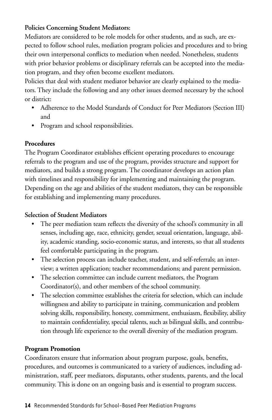#### **Policies Concerning Student Mediators:**

Mediators are considered to be role models for other students, and as such, are expected to follow school rules, mediation program policies and procedures and to bring their own interpersonal conflicts to mediation when needed. Nonetheless, students with prior behavior problems or disciplinary referrals can be accepted into the mediation program, and they often become excellent mediators.

Policies that deal with student mediator behavior are clearly explained to the mediators. They include the following and any other issues deemed necessary by the school or district:

- Adherence to the Model Standards of Conduct for Peer Mediators (Section III) and
- Program and school responsibilities.

#### **Procedures**

The Program Coordinator establishes efficient operating procedures to encourage referrals to the program and use of the program, provides structure and support for mediators, and builds a strong program. The coordinator develops an action plan with timelines and responsibility for implementing and maintaining the program. Depending on the age and abilities of the student mediators, they can be responsible for establishing and implementing many procedures.

#### **Selection of Student Mediators**

- The peer mediation team reflects the diversity of the school's community in all senses, including age, race, ethnicity, gender, sexual orientation, language, ability, academic standing, socio-economic status, and interests, so that all students feel comfortable participating in the program.
- The selection process can include teacher, student, and self-referrals; an interview; a written application; teacher recommendations; and parent permission.
- The selection committee can include current mediators, the Program Coordinator(s), and other members of the school community.
- The selection committee establishes the criteria for selection, which can include willingness and ability to participate in training, communication and problem solving skills, responsibility, honesty, commitment, enthusiasm, flexibility, ability to maintain confidentiality, special talents, such as bilingual skills, and contribution through life experience to the overall diversity of the mediation program.

#### **Program Promotion**

Coordinators ensure that information about program purpose, goals, benefits, procedures, and outcomes is communicated to a variety of audiences, including administration, staff, peer mediators, disputants, other students, parents, and the local community. This is done on an ongoing basis and is essential to program success.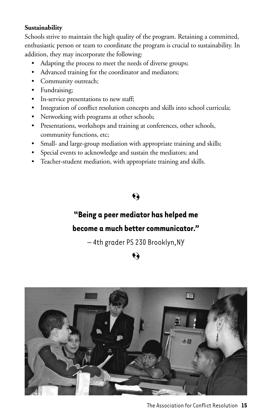#### **Sustainability**

Schools strive to maintain the high quality of the program. Retaining a committed, enthusiastic person or team to coordinate the program is crucial to sustainability. In addition, they may incorporate the following:

- Adapting the process to meet the needs of diverse groups;
- Advanced training for the coordinator and mediators;
- Community outreach;
- Fundraising;
- In-service presentations to new staff;
- Integration of conflict resolution concepts and skills into school curricula;
- Networking with programs at other schools;
- Presentations, workshops and training at conferences, other schools, community functions, etc;
- Small- and large-group mediation with appropriate training and skills;
- Special events to acknowledge and sustain the mediators; and
- Teacher-student mediation, with appropriate training and skills.

# Q

# **"Being a peer mediator has helped me**

### **become a much better communicator."**

– 4th grader PS 230 Brooklyn,NY

# Ó

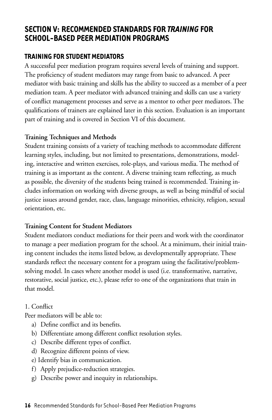## **Section V: Recommended Standards for** *Training* **for School-Based Peer Mediation Programs**

#### **Training for Student Mediators**

A successful peer mediation program requires several levels of training and support. The proficiency of student mediators may range from basic to advanced. A peer mediator with basic training and skills has the ability to succeed as a member of a peer mediation team. A peer mediator with advanced training and skills can use a variety of conflict management processes and serve as a mentor to other peer mediators. The qualifications of trainers are explained later in this section. Evaluation is an important part of training and is covered in Section VI of this document.

#### **Training Techniques and Methods**

Student training consists of a variety of teaching methods to accommodate different learning styles, including, but not limited to presentations, demonstrations, modeling, interactive and written exercises, role-plays, and various media. The method of training is as important as the content. A diverse training team reflecting, as much as possible, the diversity of the students being trained is recommended. Training includes information on working with diverse groups, as well as being mindful of social justice issues around gender, race, class, language minorities, ethnicity, religion, sexual orientation, etc.

#### **Training Content for Student Mediators**

Student mediators conduct mediations for their peers and work with the coordinator to manage a peer mediation program for the school. At a minimum, their initial training content includes the items listed below, as developmentally appropriate. These standards reflect the necessary content for a program using the facilitative/problemsolving model. In cases where another model is used (i.e. transformative, narrative, restorative, social justice, etc.), please refer to one of the organizations that train in that model.

#### 1. Conflict

Peer mediators will be able to:

- a) Define conflict and its benefits.
- b) Differentiate among different conflict resolution styles.
- c) Describe different types of conflict.
- d) Recognize different points of view.
- e) Identify bias in communication.
- f) Apply prejudice-reduction strategies.
- g) Describe power and inequity in relationships.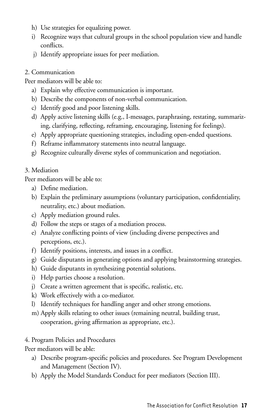- h) Use strategies for equalizing power.
- i) Recognize ways that cultural groups in the school population view and handle conflicts.
- j) Identify appropriate issues for peer mediation.

#### 2. Communication

Peer mediators will be able to:

- a) Explain why effective communication is important.
- b) Describe the components of non-verbal communication.
- c) Identify good and poor listening skills.
- d) Apply active listening skills (e.g., I-messages, paraphrasing, restating, summarizing, clarifying, reflecting, reframing, encouraging, listening for feelings).
- e) Apply appropriate questioning strategies, including open-ended questions.
- f) Reframe inflammatory statements into neutral language.
- g) Recognize culturally diverse styles of communication and negotiation.

#### 3. Mediation

Peer mediators will be able to:

- a) Define mediation.
- b) Explain the preliminary assumptions (voluntary participation, confidentiality, neutrality, etc.) about mediation.
- c) Apply mediation ground rules.
- d) Follow the steps or stages of a mediation process.
- e) Analyze conflicting points of view (including diverse perspectives and perceptions, etc.).
- f) Identify positions, interests, and issues in a conflict.
- g) Guide disputants in generating options and applying brainstorming strategies.
- h) Guide disputants in synthesizing potential solutions.
- i) Help parties choose a resolution.
- j) Create a written agreement that is specific, realistic, etc.
- k) Work effectively with a co-mediator.
- l) Identify techniques for handling anger and other strong emotions.
- m) Apply skills relating to other issues (remaining neutral, building trust, cooperation, giving affirmation as appropriate, etc.).

#### 4. Program Policies and Procedures

Peer mediators will be able:

- a) Describe program-specific policies and procedures. See Program Development and Management (Section IV).
- b) Apply the Model Standards Conduct for peer mediators (Section III).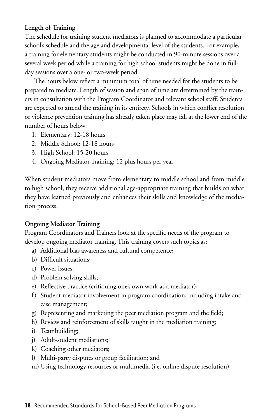#### **Length of Training**

The schedule for training student mediators is planned to accommodate a particular school's schedule and the age and developmental level of the students. For example, a training for elementary students might be conducted in 90-minute sessions over a several week period while a training for high school students might be done in fullday sessions over a one- or two-week period.

The hours below reflect a minimum total of time needed for the students to be prepared to mediate. Length of session and span of time are determined by the trainers in consultation with the Program Coordinator and relevant school staff. Students are expected to attend the training in its entirety. Schools in which conflict resolution or violence prevention training has already taken place may fall at the lower end of the number of hours below:

- 1. Elementary: 12-18 hours
- 2. Middle School: 12-18 hours
- 3. High School: 15-20 hours
- 4. Ongoing Mediator Training: 12 plus hours per year

When student mediators move from elementary to middle school and from middle to high school, they receive additional age-appropriate training that builds on what they have learned previously and enhances their skills and knowledge of the mediation process.

#### **Ongoing Mediator Training**

Program Coordinators and Trainers look at the specific needs of the program to develop ongoing mediator training. This training covers such topics as:

- a) Additional bias awareness and cultural competence;
- b) Difficult situations;
- c) Power issues;
- d) Problem solving skills;
- e) Reflective practice (critiquing one's own work as a mediator);
- f) Student mediator involvement in program coordination, including intake and case management;
- g) Representing and marketing the peer mediation program and the field;
- h) Review and reinforcement of skills taught in the mediation training;
- i) Teambuilding;
- j) Adult-student mediations:
- k) Coaching other mediators;
- l) Multi-party disputes or group facilitation; and
- m) Using technology resources or multimedia (i.e. online dispute resolution).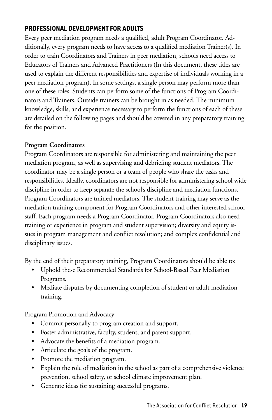#### **Professional Development for Adults**

Every peer mediation program needs a qualified, adult Program Coordinator. Additionally, every program needs to have access to a qualified mediation Trainer(s). In order to train Coordinators and Trainers in peer mediation, schools need access to Educators of Trainers and Advanced Practitioners (In this document, these titles are used to explain the different responsibilities and expertise of individuals working in a peer mediation program). In some settings, a single person may perform more than one of these roles. Students can perform some of the functions of Program Coordinators and Trainers. Outside trainers can be brought in as needed. The minimum knowledge, skills, and experience necessary to perform the functions of each of these are detailed on the following pages and should be covered in any preparatory training for the position.

#### **Program Coordinators**

Program Coordinators are responsible for administering and maintaining the peer mediation program, as well as supervising and debriefing student mediators. The coordinator may be a single person or a team of people who share the tasks and responsibilities. Ideally, coordinators are not responsible for administering school wide discipline in order to keep separate the school's discipline and mediation functions. Program Coordinators are trained mediators. The student training may serve as the mediation training component for Program Coordinators and other interested school staff. Each program needs a Program Coordinator. Program Coordinators also need training or experience in program and student supervision; diversity and equity issues in program management and conflict resolution; and complex confidential and disciplinary issues.

By the end of their preparatory training, Program Coordinators should be able to:

- Uphold these Recommended Standards for School-Based Peer Mediation Programs.
- Mediate disputes by documenting completion of student or adult mediation training.

Program Promotion and Advocacy

- Commit personally to program creation and support.
- Foster administrative, faculty, student, and parent support.
- Advocate the benefits of a mediation program.
- Articulate the goals of the program.
- Promote the mediation program.
- Explain the role of mediation in the school as part of a comprehensive violence prevention, school safety, or school climate improvement plan.
- Generate ideas for sustaining successful programs.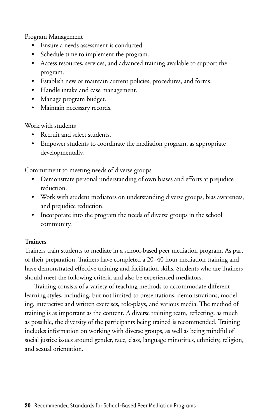Program Management

- Ensure a needs assessment is conducted.
- Schedule time to implement the program.
- Access resources, services, and advanced training available to support the program.
- Establish new or maintain current policies, procedures, and forms.
- Handle intake and case management.
- Manage program budget.
- Maintain necessary records.

Work with students

- Recruit and select students.
- Empower students to coordinate the mediation program, as appropriate developmentally.

Commitment to meeting needs of diverse groups

- Demonstrate personal understanding of own biases and efforts at prejudice reduction.
- Work with student mediators on understanding diverse groups, bias awareness, and prejudice reduction.
- Incorporate into the program the needs of diverse groups in the school community.

#### **Trainers**

Trainers train students to mediate in a school-based peer mediation program. As part of their preparation, Trainers have completed a 20–40 hour mediation training and have demonstrated effective training and facilitation skills. Students who are Trainers should meet the following criteria and also be experienced mediators.

Training consists of a variety of teaching methods to accommodate different learning styles, including, but not limited to presentations, demonstrations, modeling, interactive and written exercises, role-plays, and various media. The method of training is as important as the content. A diverse training team, reflecting, as much as possible, the diversity of the participants being trained is recommended. Training includes information on working with diverse groups, as well as being mindful of social justice issues around gender, race, class, language minorities, ethnicity, religion, and sexual orientation.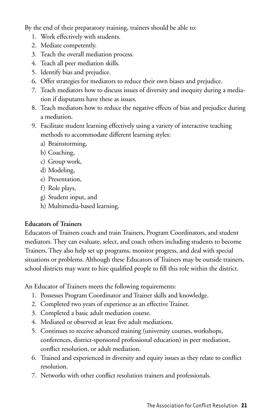By the end of their preparatory training, trainers should be able to:

- 1. Work effectively with students.
- 2. Mediate competently.
- 3. Teach the overall mediation process.
- 4. Teach all peer mediation skills.
- 5. Identify bias and prejudice.
- 6. Offer strategies for mediators to reduce their own biases and prejudice.
- 7. Teach mediators how to discuss issues of diversity and inequity during a mediation if disputants have these as issues.
- 8. Teach mediators how to reduce the negative effects of bias and prejudice during a mediation.
- 9. Facilitate student learning effectively using a variety of interactive teaching methods to accommodate different learning styles:
	- a) Brainstorming,
	- b) Coaching,
	- c) Group work,
	- d) Modeling,
	- e) Presentation,
	- f) Role plays,
	- g) Student input, and
	- h) Multimedia-based learning.

#### **Educators of Trainers**

Educators of Trainers coach and train Trainers, Program Coordinators, and student mediators. They can evaluate, select, and coach others including students to become Trainers. They also help set up programs, monitor progress, and deal with special situations or problems. Although these Educators of Trainers may be outside trainers, school districts may want to hire qualified people to fill this role within the district.

An Educator of Trainers meets the following requirements:

- 1. Possesses Program Coordinator and Trainer skills and knowledge.
- 2. Completed two years of experience as an effective Trainer.
- 3. Completed a basic adult mediation course.
- 4. Mediated or observed at least five adult mediations.
- 5. Continues to receive advanced training (university courses, workshops, conferences, district-sponsored professional education) in peer mediation, conflict resolution, or adult mediation.
- 6. Trained and experienced in diversity and equity issues as they relate to conflict resolution.
- 7. Networks with other conflict resolution trainers and professionals.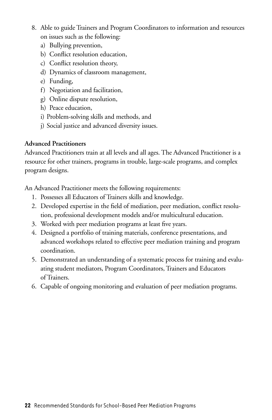- 8. Able to guide Trainers and Program Coordinators to information and resources on issues such as the following:
	- a) Bullying prevention,
	- b) Conflict resolution education,
	- c) Conflict resolution theory,
	- d) Dynamics of classroom management,
	- e) Funding,
	- f) Negotiation and facilitation,
	- g) Online dispute resolution,
	- h) Peace education,
	- i) Problem-solving skills and methods, and
	- j) Social justice and advanced diversity issues.

#### **Advanced Practitioners**

Advanced Practitioners train at all levels and all ages. The Advanced Practitioner is a resource for other trainers, programs in trouble, large-scale programs, and complex program designs.

An Advanced Practitioner meets the following requirements:

- 1. Possesses all Educators of Trainers skills and knowledge.
- 2. Developed expertise in the field of mediation, peer mediation, conflict resolution, professional development models and/or multicultural education.
- 3. Worked with peer mediation programs at least five years.
- 4. Designed a portfolio of training materials, conference presentations, and advanced workshops related to effective peer mediation training and program coordination.
- 5. Demonstrated an understanding of a systematic process for training and evaluating student mediators, Program Coordinators, Trainers and Educators of Trainers.
- 6. Capable of ongoing monitoring and evaluation of peer mediation programs.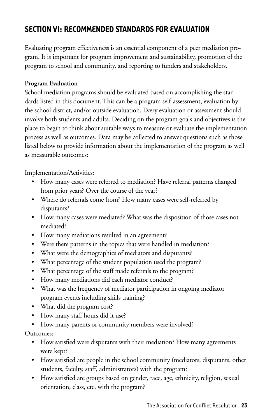# **Section VI: Recommended Standards for Evaluation**

Evaluating program effectiveness is an essential component of a peer mediation program. It is important for program improvement and sustainability, promotion of the program to school and community, and reporting to funders and stakeholders.

#### **Program Evaluation**

School mediation programs should be evaluated based on accomplishing the standards listed in this document. This can be a program self-assessment, evaluation by the school district, and/or outside evaluation. Every evaluation or assessment should involve both students and adults. Deciding on the program goals and objectives is the place to begin to think about suitable ways to measure or evaluate the implementation process as well as outcomes. Data may be collected to answer questions such as those listed below to provide information about the implementation of the program as well as measurable outcomes:

Implementation/Activities:

- How many cases were referred to mediation? Have referral patterns changed from prior years? Over the course of the year?
- Where do referrals come from? How many cases were self-referred by disputants?
- How many cases were mediated? What was the disposition of those cases not mediated?
- How many mediations resulted in an agreement?
- Were there patterns in the topics that were handled in mediation?
- What were the demographics of mediators and disputants?
- What percentage of the student population used the program?
- What percentage of the staff made referrals to the program?
- How many mediations did each mediator conduct?
- What was the frequency of mediator participation in ongoing mediator program events including skills training?
- What did the program cost?
- How many staff hours did it use?
- How many parents or community members were involved?

Outcomes:

- How satisfied were disputants with their mediation? How many agreements were kept?
- • How satisfied are people in the school community (mediators, disputants, other students, faculty, staff, administrators) with the program?
- How satisfied are groups based on gender, race, age, ethnicity, religion, sexual orientation, class, etc. with the program?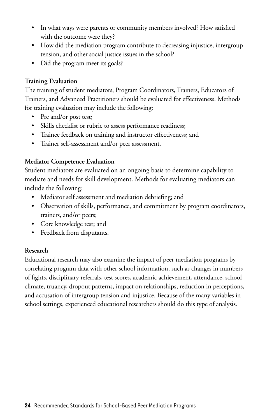- • In what ways were parents or community members involved? How satisfied with the outcome were they?
- How did the mediation program contribute to decreasing injustice, intergroup tension, and other social justice issues in the school?
- Did the program meet its goals?

#### **Training Evaluation**

The training of student mediators, Program Coordinators, Trainers, Educators of Trainers, and Advanced Practitioners should be evaluated for effectiveness. Methods for training evaluation may include the following:

- Pre and/or post test;
- Skills checklist or rubric to assess performance readiness;
- Trainee feedback on training and instructor effectiveness; and
- Trainer self-assessment and/or peer assessment.

#### **Mediator Competence Evaluation**

Student mediators are evaluated on an ongoing basis to determine capability to mediate and needs for skill development. Methods for evaluating mediators can include the following:

- Mediator self assessment and mediation debriefing; and
- Observation of skills, performance, and commitment by program coordinators, trainers, and/or peers;
- • Core knowledge test; and
- Feedback from disputants.

#### **Research**

Educational research may also examine the impact of peer mediation programs by correlating program data with other school information, such as changes in numbers of fights, disciplinary referrals, test scores, academic achievement, attendance, school climate, truancy, dropout patterns, impact on relationships, reduction in perceptions, and accusation of intergroup tension and injustice. Because of the many variables in school settings, experienced educational researchers should do this type of analysis.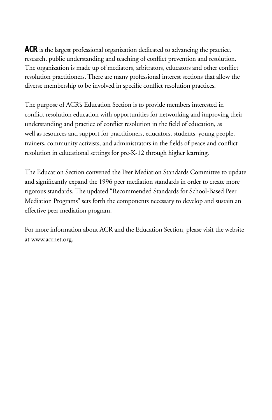**ACR** is the largest professional organization dedicated to advancing the practice, research, public understanding and teaching of conflict prevention and resolution. The organization is made up of mediators, arbitrators, educators and other conflict resolution practitioners. There are many professional interest sections that allow the diverse membership to be involved in specific conflict resolution practices.

The purpose of ACR's Education Section is to provide members interested in conflict resolution education with opportunities for networking and improving their understanding and practice of conflict resolution in the field of education, as well as resources and support for practitioners, educators, students, young people, trainers, community activists, and administrators in the fields of peace and conflict resolution in educational settings for pre-K-12 through higher learning.

The Education Section convened the Peer Mediation Standards Committee to update and significantly expand the 1996 peer mediation standards in order to create more rigorous standards. The updated "Recommended Standards for School-Based Peer Mediation Programs" sets forth the components necessary to develop and sustain an effective peer mediation program.

For more information about ACR and the Education Section, please visit the website at www.acrnet.org.